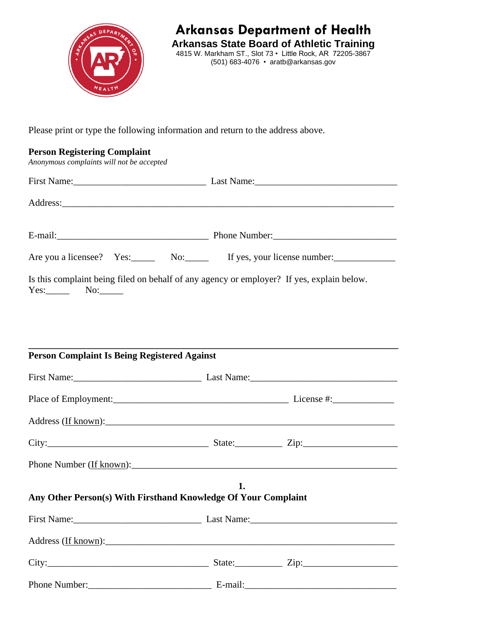

**Arkansas Department of Health**

**Arkansas State Board of Athletic Training** 4815 W. Markham ST., Slot 73 • Little Rock, AR 72205-3867 (501) 683-4076 • aratb@arkansas.gov

Please print or type the following information and return to the address above.

## **Person Registering Complaint**

*Anonymous complaints will not be accepted*

|                                                     | Are you a licensee? Yes: No: No: If yes, your license number:                             |
|-----------------------------------------------------|-------------------------------------------------------------------------------------------|
| $Yes:$ No: $\_\_$                                   | Is this complaint being filed on behalf of any agency or employer? If yes, explain below. |
| <b>Person Complaint Is Being Registered Against</b> |                                                                                           |
|                                                     |                                                                                           |
|                                                     |                                                                                           |
|                                                     |                                                                                           |
|                                                     |                                                                                           |

Phone Number (If known):

## **1. Any Other Person(s) With Firsthand Knowledge Of Your Complaint**

| City: | State: $\qquad \qquad \text{Zip:}$                                                                                                                                                                                             |  |
|-------|--------------------------------------------------------------------------------------------------------------------------------------------------------------------------------------------------------------------------------|--|
|       | E-mail: the contract of the contract of the contract of the contract of the contract of the contract of the contract of the contract of the contract of the contract of the contract of the contract of the contract of the co |  |